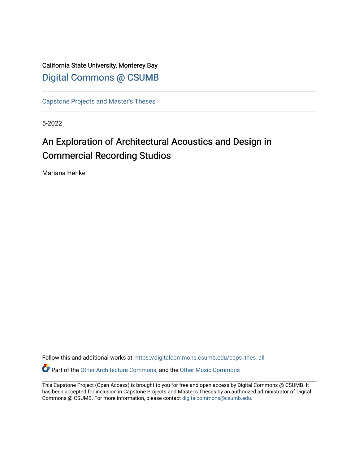California State University, Monterey Bay [Digital Commons @ CSUMB](https://digitalcommons.csumb.edu/)

[Capstone Projects and Master's Theses](https://digitalcommons.csumb.edu/caps_thes_all)

5-2022

# An Exploration of Architectural Acoustics and Design in Commercial Recording Studios

Mariana Henke

Follow this and additional works at: [https://digitalcommons.csumb.edu/caps\\_thes\\_all](https://digitalcommons.csumb.edu/caps_thes_all?utm_source=digitalcommons.csumb.edu%2Fcaps_thes_all%2F1322&utm_medium=PDF&utm_campaign=PDFCoverPages)

Part of the [Other Architecture Commons,](https://network.bepress.com/hgg/discipline/783?utm_source=digitalcommons.csumb.edu%2Fcaps_thes_all%2F1322&utm_medium=PDF&utm_campaign=PDFCoverPages) and the [Other Music Commons](https://network.bepress.com/hgg/discipline/524?utm_source=digitalcommons.csumb.edu%2Fcaps_thes_all%2F1322&utm_medium=PDF&utm_campaign=PDFCoverPages)

This Capstone Project (Open Access) is brought to you for free and open access by Digital Commons @ CSUMB. It has been accepted for inclusion in Capstone Projects and Master's Theses by an authorized administrator of Digital Commons @ CSUMB. For more information, please contact [digitalcommons@csumb.edu](mailto:digitalcommons@csumb.edu).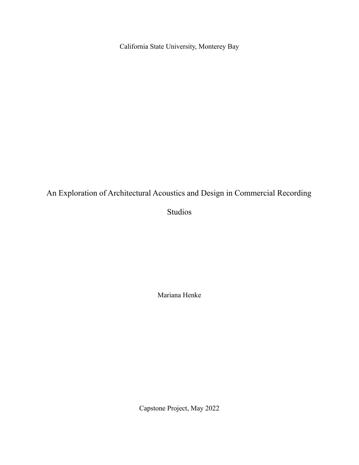California State University, Monterey Bay

An Exploration of Architectural Acoustics and Design in Commercial Recording

Studios

Mariana Henke

Capstone Project, May 2022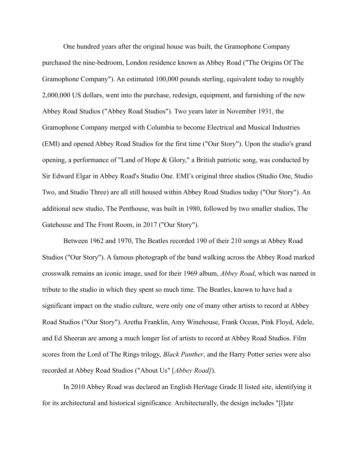One hundred years after the original house was built, the Gramophone Company purchased the nine-bedroom, London residence known as Abbey Road ("The Origins Of The Gramophone Company"). An estimated 100,000 pounds sterling, equivalent today to roughly 2,000,000 US dollars, went into the purchase, redesign, equipment, and furnishing of the new Abbey Road Studios ("Abbey Road Studios"). Two years later in November 1931, the Gramophone Company merged with Columbia to become Electrical and Musical Industries (EMI) and opened Abbey Road Studios for the first time ("Our Story"). Upon the studio's grand opening, a performance of "Land of Hope & Glory," a British patriotic song, was conducted by Sir Edward Elgar in Abbey Road's Studio One. EMI's original three studios (Studio One, Studio Two, and Studio Three) are all still housed within Abbey Road Studios today ("Our Story"). An additional new studio, The Penthouse, was built in 1980, followed by two smaller studios, The Gatehouse and The Front Room, in 2017 ("Our Story").

Between 1962 and 1970, The Beatles recorded 190 of their 210 songs at Abbey Road Studios ("Our Story"). A famous photograph of the band walking across the Abbey Road marked crosswalk remains an iconic image, used for their 1969 album, *Abbey Road*, which was named in tribute to the studio in which they spent so much time. The Beatles, known to have had a significant impact on the studio culture, were only one of many other artists to record at Abbey Road Studios ("Our Story"). Aretha Franklin, Amy Winehouse, Frank Ocean, Pink Floyd, Adele, and Ed Sheeran are among a much longer list of artists to record at Abbey Road Studios. Film scores from the Lord of The Rings trilogy, *Black Panther*, and the Harry Potter series were also recorded at Abbey Road Studios ("About Us" [*Abbey Road]*).

In 2010 Abbey Road was declared an English Heritage Grade II listed site, identifying it for its architectural and historical significance. Architecturally, the design includes "[l]ate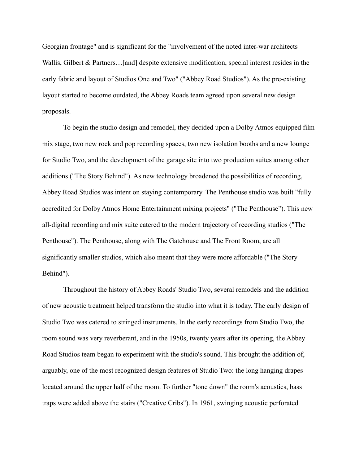Georgian frontage" and is significant for the "involvement of the noted inter-war architects Wallis, Gilbert & Partners...[and] despite extensive modification, special interest resides in the early fabric and layout of Studios One and Two" ("Abbey Road Studios"). As the pre-existing layout started to become outdated, the Abbey Roads team agreed upon several new design proposals.

To begin the studio design and remodel, they decided upon a Dolby Atmos equipped film mix stage, two new rock and pop recording spaces, two new isolation booths and a new lounge for Studio Two, and the development of the garage site into two production suites among other additions ("The Story Behind"). As new technology broadened the possibilities of recording, Abbey Road Studios was intent on staying contemporary. The Penthouse studio was built "fully accredited for Dolby Atmos Home Entertainment mixing projects" ("The Penthouse"). This new all-digital recording and mix suite catered to the modern trajectory of recording studios ("The Penthouse"). The Penthouse, along with The Gatehouse and The Front Room, are all significantly smaller studios, which also meant that they were more affordable ("The Story Behind").

Throughout the history of Abbey Roads' Studio Two, several remodels and the addition of new acoustic treatment helped transform the studio into what it is today. The early design of Studio Two was catered to stringed instruments. In the early recordings from Studio Two, the room sound was very reverberant, and in the 1950s, twenty years after its opening, the Abbey Road Studios team began to experiment with the studio's sound. This brought the addition of, arguably, one of the most recognized design features of Studio Two: the long hanging drapes located around the upper half of the room. To further "tone down" the room's acoustics, bass traps were added above the stairs ("Creative Cribs"). In 1961, swinging acoustic perforated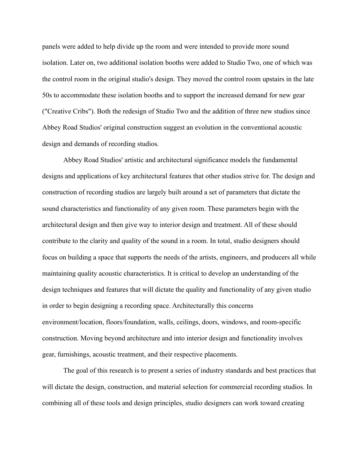panels were added to help divide up the room and were intended to provide more sound isolation. Later on, two additional isolation booths were added to Studio Two, one of which was the control room in the original studio's design. They moved the control room upstairs in the late 50s to accommodate these isolation booths and to support the increased demand for new gear ("Creative Cribs"). Both the redesign of Studio Two and the addition of three new studios since Abbey Road Studios' original construction suggest an evolution in the conventional acoustic design and demands of recording studios.

Abbey Road Studios' artistic and architectural significance models the fundamental designs and applications of key architectural features that other studios strive for. The design and construction of recording studios are largely built around a set of parameters that dictate the sound characteristics and functionality of any given room. These parameters begin with the architectural design and then give way to interior design and treatment. All of these should contribute to the clarity and quality of the sound in a room. In total, studio designers should focus on building a space that supports the needs of the artists, engineers, and producers all while maintaining quality acoustic characteristics. It is critical to develop an understanding of the design techniques and features that will dictate the quality and functionality of any given studio in order to begin designing a recording space. Architecturally this concerns environment/location, floors/foundation, walls, ceilings, doors, windows, and room-specific construction. Moving beyond architecture and into interior design and functionality involves gear, furnishings, acoustic treatment, and their respective placements.

The goal of this research is to present a series of industry standards and best practices that will dictate the design, construction, and material selection for commercial recording studios. In combining all of these tools and design principles, studio designers can work toward creating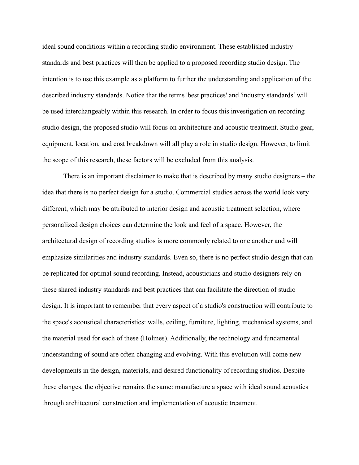ideal sound conditions within a recording studio environment. These established industry standards and best practices will then be applied to a proposed recording studio design. The intention is to use this example as a platform to further the understanding and application of the described industry standards. Notice that the terms 'best practices' and 'industry standards' will be used interchangeably within this research. In order to focus this investigation on recording studio design, the proposed studio will focus on architecture and acoustic treatment. Studio gear, equipment, location, and cost breakdown will all play a role in studio design. However, to limit the scope of this research, these factors will be excluded from this analysis.

There is an important disclaimer to make that is described by many studio designers – the idea that there is no perfect design for a studio. Commercial studios across the world look very different, which may be attributed to interior design and acoustic treatment selection, where personalized design choices can determine the look and feel of a space. However, the architectural design of recording studios is more commonly related to one another and will emphasize similarities and industry standards. Even so, there is no perfect studio design that can be replicated for optimal sound recording. Instead, acousticians and studio designers rely on these shared industry standards and best practices that can facilitate the direction of studio design. It is important to remember that every aspect of a studio's construction will contribute to the space's acoustical characteristics: walls, ceiling, furniture, lighting, mechanical systems, and the material used for each of these (Holmes). Additionally, the technology and fundamental understanding of sound are often changing and evolving. With this evolution will come new developments in the design, materials, and desired functionality of recording studios. Despite these changes, the objective remains the same: manufacture a space with ideal sound acoustics through architectural construction and implementation of acoustic treatment.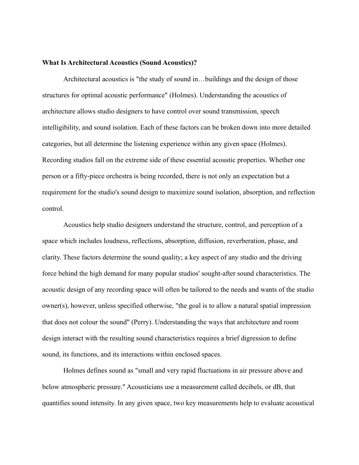### **What Is Architectural Acoustics (Sound Acoustics)?**

Architectural acoustics is "the study of sound in…buildings and the design of those structures for optimal acoustic performance" (Holmes). Understanding the acoustics of architecture allows studio designers to have control over sound transmission, speech intelligibility, and sound isolation. Each of these factors can be broken down into more detailed categories, but all determine the listening experience within any given space (Holmes). Recording studios fall on the extreme side of these essential acoustic properties. Whether one person or a fifty-piece orchestra is being recorded, there is not only an expectation but a requirement for the studio's sound design to maximize sound isolation, absorption, and reflection control.

Acoustics help studio designers understand the structure, control, and perception of a space which includes loudness, reflections, absorption, diffusion, reverberation, phase, and clarity. These factors determine the sound quality; a key aspect of any studio and the driving force behind the high demand for many popular studios' sought-after sound characteristics. The acoustic design of any recording space will often be tailored to the needs and wants of the studio owner(s), however, unless specified otherwise, "the goal is to allow a natural spatial impression that does not colour the sound" (Perry). Understanding the ways that architecture and room design interact with the resulting sound characteristics requires a brief digression to define sound, its functions, and its interactions within enclosed spaces.

Holmes defines sound as "small and very rapid fluctuations in air pressure above and below atmospheric pressure." Acousticians use a measurement called decibels, or dB, that quantifies sound intensity. In any given space, two key measurements help to evaluate acoustical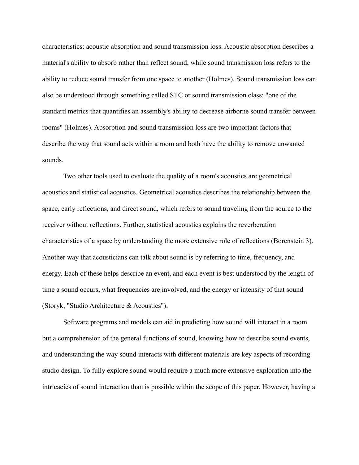characteristics: acoustic absorption and sound transmission loss. Acoustic absorption describes a material's ability to absorb rather than reflect sound, while sound transmission loss refers to the ability to reduce sound transfer from one space to another (Holmes). Sound transmission loss can also be understood through something called STC or sound transmission class: "one of the standard metrics that quantifies an assembly's ability to decrease airborne sound transfer between rooms" (Holmes). Absorption and sound transmission loss are two important factors that describe the way that sound acts within a room and both have the ability to remove unwanted sounds.

Two other tools used to evaluate the quality of a room's acoustics are geometrical acoustics and statistical acoustics. Geometrical acoustics describes the relationship between the space, early reflections, and direct sound, which refers to sound traveling from the source to the receiver without reflections. Further, statistical acoustics explains the reverberation characteristics of a space by understanding the more extensive role of reflections (Borenstein 3). Another way that acousticians can talk about sound is by referring to time, frequency, and energy. Each of these helps describe an event, and each event is best understood by the length of time a sound occurs, what frequencies are involved, and the energy or intensity of that sound (Storyk, "Studio Architecture & Acoustics").

Software programs and models can aid in predicting how sound will interact in a room but a comprehension of the general functions of sound, knowing how to describe sound events, and understanding the way sound interacts with different materials are key aspects of recording studio design. To fully explore sound would require a much more extensive exploration into the intricacies of sound interaction than is possible within the scope of this paper. However, having a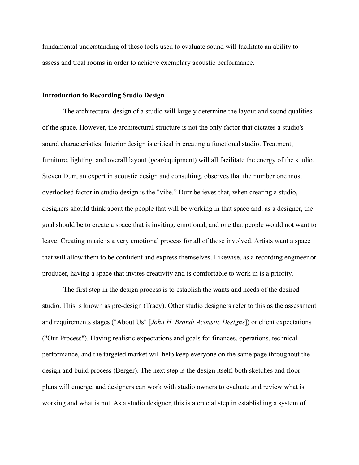fundamental understanding of these tools used to evaluate sound will facilitate an ability to assess and treat rooms in order to achieve exemplary acoustic performance.

### **Introduction to Recording Studio Design**

The architectural design of a studio will largely determine the layout and sound qualities of the space. However, the architectural structure is not the only factor that dictates a studio's sound characteristics. Interior design is critical in creating a functional studio. Treatment, furniture, lighting, and overall layout (gear/equipment) will all facilitate the energy of the studio. Steven Durr, an expert in acoustic design and consulting, observes that the number one most overlooked factor in studio design is the "vibe." Durr believes that, when creating a studio, designers should think about the people that will be working in that space and, as a designer, the goal should be to create a space that is inviting, emotional, and one that people would not want to leave. Creating music is a very emotional process for all of those involved. Artists want a space that will allow them to be confident and express themselves. Likewise, as a recording engineer or producer, having a space that invites creativity and is comfortable to work in is a priority.

The first step in the design process is to establish the wants and needs of the desired studio. This is known as pre-design (Tracy). Other studio designers refer to this as the assessment and requirements stages ("About Us" [*John H. Brandt Acoustic Designs*]) or client expectations ("Our Process"). Having realistic expectations and goals for finances, operations, technical performance, and the targeted market will help keep everyone on the same page throughout the design and build process (Berger). The next step is the design itself; both sketches and floor plans will emerge, and designers can work with studio owners to evaluate and review what is working and what is not. As a studio designer, this is a crucial step in establishing a system of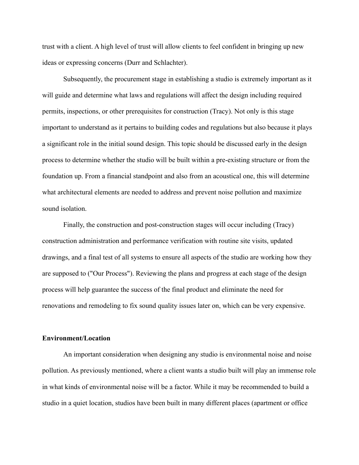trust with a client. A high level of trust will allow clients to feel confident in bringing up new ideas or expressing concerns (Durr and Schlachter).

Subsequently, the procurement stage in establishing a studio is extremely important as it will guide and determine what laws and regulations will affect the design including required permits, inspections, or other prerequisites for construction (Tracy). Not only is this stage important to understand as it pertains to building codes and regulations but also because it plays a significant role in the initial sound design. This topic should be discussed early in the design process to determine whether the studio will be built within a pre-existing structure or from the foundation up. From a financial standpoint and also from an acoustical one, this will determine what architectural elements are needed to address and prevent noise pollution and maximize sound isolation.

Finally, the construction and post-construction stages will occur including (Tracy) construction administration and performance verification with routine site visits, updated drawings, and a final test of all systems to ensure all aspects of the studio are working how they are supposed to ("Our Process"). Reviewing the plans and progress at each stage of the design process will help guarantee the success of the final product and eliminate the need for renovations and remodeling to fix sound quality issues later on, which can be very expensive.

## **Environment/Location**

An important consideration when designing any studio is environmental noise and noise pollution. As previously mentioned, where a client wants a studio built will play an immense role in what kinds of environmental noise will be a factor. While it may be recommended to build a studio in a quiet location, studios have been built in many different places (apartment or office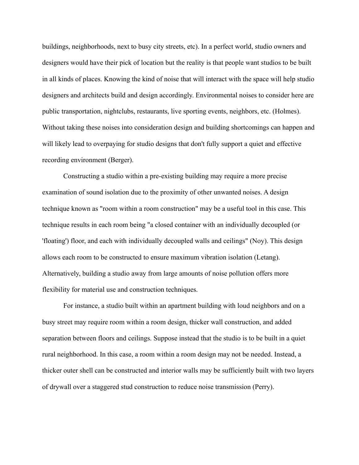buildings, neighborhoods, next to busy city streets, etc). In a perfect world, studio owners and designers would have their pick of location but the reality is that people want studios to be built in all kinds of places. Knowing the kind of noise that will interact with the space will help studio designers and architects build and design accordingly. Environmental noises to consider here are public transportation, nightclubs, restaurants, live sporting events, neighbors, etc. (Holmes). Without taking these noises into consideration design and building shortcomings can happen and will likely lead to overpaying for studio designs that don't fully support a quiet and effective recording environment (Berger).

Constructing a studio within a pre-existing building may require a more precise examination of sound isolation due to the proximity of other unwanted noises. A design technique known as "room within a room construction" may be a useful tool in this case. This technique results in each room being "a closed container with an individually decoupled (or 'floating') floor, and each with individually decoupled walls and ceilings" (Noy). This design allows each room to be constructed to ensure maximum vibration isolation (Letang). Alternatively, building a studio away from large amounts of noise pollution offers more flexibility for material use and construction techniques.

For instance, a studio built within an apartment building with loud neighbors and on a busy street may require room within a room design, thicker wall construction, and added separation between floors and ceilings. Suppose instead that the studio is to be built in a quiet rural neighborhood. In this case, a room within a room design may not be needed. Instead, a thicker outer shell can be constructed and interior walls may be sufficiently built with two layers of drywall over a staggered stud construction to reduce noise transmission (Perry).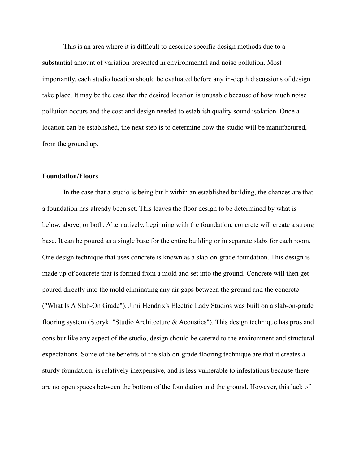This is an area where it is difficult to describe specific design methods due to a substantial amount of variation presented in environmental and noise pollution. Most importantly, each studio location should be evaluated before any in-depth discussions of design take place. It may be the case that the desired location is unusable because of how much noise pollution occurs and the cost and design needed to establish quality sound isolation. Once a location can be established, the next step is to determine how the studio will be manufactured, from the ground up.

## **Foundation/Floors**

In the case that a studio is being built within an established building, the chances are that a foundation has already been set. This leaves the floor design to be determined by what is below, above, or both. Alternatively, beginning with the foundation, concrete will create a strong base. It can be poured as a single base for the entire building or in separate slabs for each room. One design technique that uses concrete is known as a slab-on-grade foundation. This design is made up of concrete that is formed from a mold and set into the ground. Concrete will then get poured directly into the mold eliminating any air gaps between the ground and the concrete ("What Is A Slab-On Grade"). Jimi Hendrix's Electric Lady Studios was built on a slab-on-grade flooring system (Storyk, "Studio Architecture & Acoustics"). This design technique has pros and cons but like any aspect of the studio, design should be catered to the environment and structural expectations. Some of the benefits of the slab-on-grade flooring technique are that it creates a sturdy foundation, is relatively inexpensive, and is less vulnerable to infestations because there are no open spaces between the bottom of the foundation and the ground. However, this lack of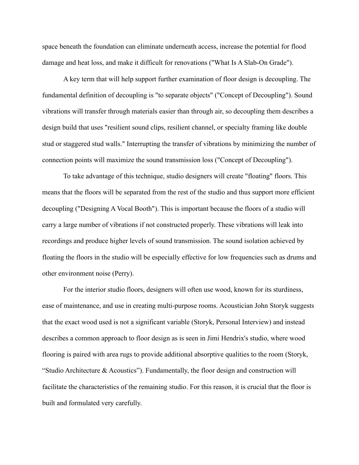space beneath the foundation can eliminate underneath access, increase the potential for flood damage and heat loss, and make it difficult for renovations ("What Is A Slab-On Grade").

A key term that will help support further examination of floor design is decoupling. The fundamental definition of decoupling is "to separate objects" ("Concept of Decoupling"). Sound vibrations will transfer through materials easier than through air, so decoupling them describes a design build that uses "resilient sound clips, resilient channel, or specialty framing like double stud or staggered stud walls." Interrupting the transfer of vibrations by minimizing the number of connection points will maximize the sound transmission loss ("Concept of Decoupling").

To take advantage of this technique, studio designers will create "floating" floors. This means that the floors will be separated from the rest of the studio and thus support more efficient decoupling ("Designing A Vocal Booth"). This is important because the floors of a studio will carry a large number of vibrations if not constructed properly. These vibrations will leak into recordings and produce higher levels of sound transmission. The sound isolation achieved by floating the floors in the studio will be especially effective for low frequencies such as drums and other environment noise (Perry).

For the interior studio floors, designers will often use wood, known for its sturdiness, ease of maintenance, and use in creating multi-purpose rooms. Acoustician John Storyk suggests that the exact wood used is not a significant variable (Storyk, Personal Interview) and instead describes a common approach to floor design as is seen in Jimi Hendrix's studio, where wood flooring is paired with area rugs to provide additional absorptive qualities to the room (Storyk, "Studio Architecture & Acoustics"). Fundamentally, the floor design and construction will facilitate the characteristics of the remaining studio. For this reason, it is crucial that the floor is built and formulated very carefully.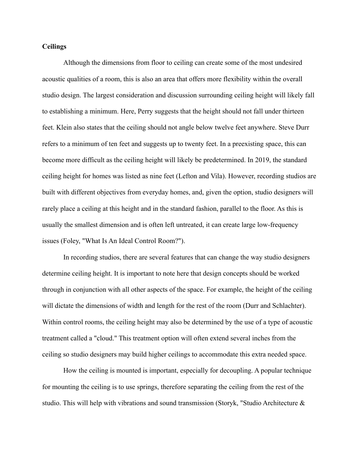## **Ceilings**

Although the dimensions from floor to ceiling can create some of the most undesired acoustic qualities of a room, this is also an area that offers more flexibility within the overall studio design. The largest consideration and discussion surrounding ceiling height will likely fall to establishing a minimum. Here, Perry suggests that the height should not fall under thirteen feet. Klein also states that the ceiling should not angle below twelve feet anywhere. Steve Durr refers to a minimum of ten feet and suggests up to twenty feet. In a preexisting space, this can become more difficult as the ceiling height will likely be predetermined. In 2019, the standard ceiling height for homes was listed as nine feet (Lefton and Vila). However, recording studios are built with different objectives from everyday homes, and, given the option, studio designers will rarely place a ceiling at this height and in the standard fashion, parallel to the floor. As this is usually the smallest dimension and is often left untreated, it can create large low-frequency issues (Foley, "What Is An Ideal Control Room?").

In recording studios, there are several features that can change the way studio designers determine ceiling height. It is important to note here that design concepts should be worked through in conjunction with all other aspects of the space. For example, the height of the ceiling will dictate the dimensions of width and length for the rest of the room (Durr and Schlachter). Within control rooms, the ceiling height may also be determined by the use of a type of acoustic treatment called a "cloud." This treatment option will often extend several inches from the ceiling so studio designers may build higher ceilings to accommodate this extra needed space.

How the ceiling is mounted is important, especially for decoupling. A popular technique for mounting the ceiling is to use springs, therefore separating the ceiling from the rest of the studio. This will help with vibrations and sound transmission (Storyk, "Studio Architecture &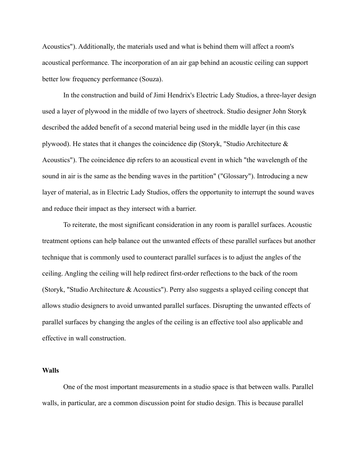Acoustics"). Additionally, the materials used and what is behind them will affect a room's acoustical performance. The incorporation of an air gap behind an acoustic ceiling can support better low frequency performance (Souza).

In the construction and build of Jimi Hendrix's Electric Lady Studios, a three-layer design used a layer of plywood in the middle of two layers of sheetrock. Studio designer John Storyk described the added benefit of a second material being used in the middle layer (in this case plywood). He states that it changes the coincidence dip (Storyk, "Studio Architecture  $\&$ Acoustics"). The coincidence dip refers to an acoustical event in which "the wavelength of the sound in air is the same as the bending waves in the partition" ("Glossary"). Introducing a new layer of material, as in Electric Lady Studios, offers the opportunity to interrupt the sound waves and reduce their impact as they intersect with a barrier.

To reiterate, the most significant consideration in any room is parallel surfaces. Acoustic treatment options can help balance out the unwanted effects of these parallel surfaces but another technique that is commonly used to counteract parallel surfaces is to adjust the angles of the ceiling. Angling the ceiling will help redirect first-order reflections to the back of the room (Storyk, "Studio Architecture & Acoustics"). Perry also suggests a splayed ceiling concept that allows studio designers to avoid unwanted parallel surfaces. Disrupting the unwanted effects of parallel surfaces by changing the angles of the ceiling is an effective tool also applicable and effective in wall construction.

#### **Walls**

One of the most important measurements in a studio space is that between walls. Parallel walls, in particular, are a common discussion point for studio design. This is because parallel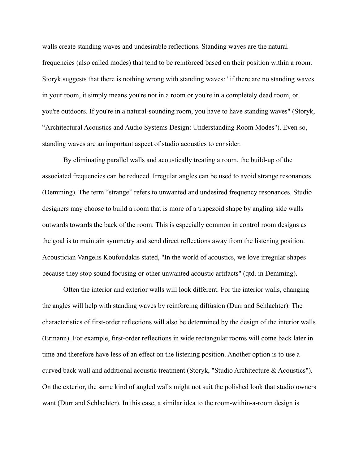walls create standing waves and undesirable reflections. Standing waves are the natural frequencies (also called modes) that tend to be reinforced based on their position within a room. Storyk suggests that there is nothing wrong with standing waves: "if there are no standing waves in your room, it simply means you're not in a room or you're in a completely dead room, or you're outdoors. If you're in a natural-sounding room, you have to have standing waves" (Storyk, "Architectural Acoustics and Audio Systems Design: Understanding Room Modes"). Even so, standing waves are an important aspect of studio acoustics to consider.

By eliminating parallel walls and acoustically treating a room, the build-up of the associated frequencies can be reduced. Irregular angles can be used to avoid strange resonances (Demming). The term "strange" refers to unwanted and undesired frequency resonances. Studio designers may choose to build a room that is more of a trapezoid shape by angling side walls outwards towards the back of the room. This is especially common in control room designs as the goal is to maintain symmetry and send direct reflections away from the listening position. Acoustician Vangelis Koufoudakis stated, "In the world of acoustics, we love irregular shapes because they stop sound focusing or other unwanted acoustic artifacts" (qtd. in Demming).

Often the interior and exterior walls will look different. For the interior walls, changing the angles will help with standing waves by reinforcing diffusion (Durr and Schlachter). The characteristics of first-order reflections will also be determined by the design of the interior walls (Ermann). For example, first-order reflections in wide rectangular rooms will come back later in time and therefore have less of an effect on the listening position. Another option is to use a curved back wall and additional acoustic treatment (Storyk, "Studio Architecture & Acoustics"). On the exterior, the same kind of angled walls might not suit the polished look that studio owners want (Durr and Schlachter). In this case, a similar idea to the room-within-a-room design is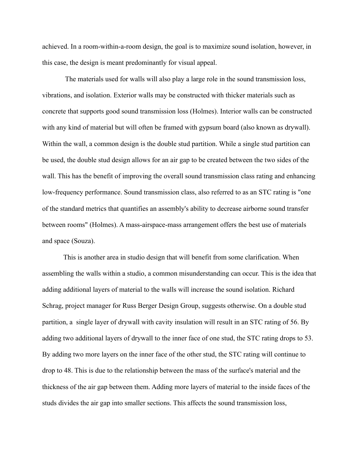achieved. In a room-within-a-room design, the goal is to maximize sound isolation, however, in this case, the design is meant predominantly for visual appeal.

The materials used for walls will also play a large role in the sound transmission loss, vibrations, and isolation. Exterior walls may be constructed with thicker materials such as concrete that supports good sound transmission loss (Holmes). Interior walls can be constructed with any kind of material but will often be framed with gypsum board (also known as drywall). Within the wall, a common design is the double stud partition. While a single stud partition can be used, the double stud design allows for an air gap to be created between the two sides of the wall. This has the benefit of improving the overall sound transmission class rating and enhancing low-frequency performance. Sound transmission class, also referred to as an STC rating is "one of the standard metrics that quantifies an assembly's ability to decrease airborne sound transfer between rooms" (Holmes). A mass-airspace-mass arrangement offers the best use of materials and space (Souza).

This is another area in studio design that will benefit from some clarification. When assembling the walls within a studio, a common misunderstanding can occur. This is the idea that adding additional layers of material to the walls will increase the sound isolation. Richard Schrag, project manager for Russ Berger Design Group, suggests otherwise. On a double stud partition, a single layer of drywall with cavity insulation will result in an STC rating of 56. By adding two additional layers of drywall to the inner face of one stud, the STC rating drops to 53. By adding two more layers on the inner face of the other stud, the STC rating will continue to drop to 48. This is due to the relationship between the mass of the surface's material and the thickness of the air gap between them. Adding more layers of material to the inside faces of the studs divides the air gap into smaller sections. This affects the sound transmission loss,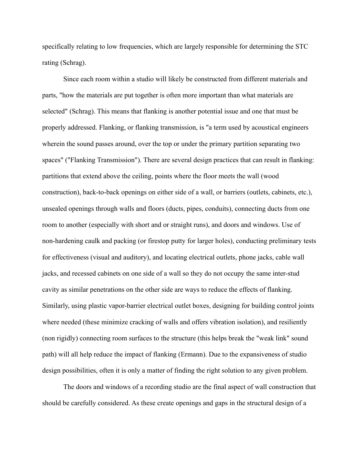specifically relating to low frequencies, which are largely responsible for determining the STC rating (Schrag).

Since each room within a studio will likely be constructed from different materials and parts, "how the materials are put together is often more important than what materials are selected" (Schrag). This means that flanking is another potential issue and one that must be properly addressed. Flanking, or flanking transmission, is "a term used by acoustical engineers wherein the sound passes around, over the top or under the primary partition separating two spaces" ("Flanking Transmission"). There are several design practices that can result in flanking: partitions that extend above the ceiling, points where the floor meets the wall (wood construction), back-to-back openings on either side of a wall, or barriers (outlets, cabinets, etc.), unsealed openings through walls and floors (ducts, pipes, conduits), connecting ducts from one room to another (especially with short and or straight runs), and doors and windows. Use of non-hardening caulk and packing (or firestop putty for larger holes), conducting preliminary tests for effectiveness (visual and auditory), and locating electrical outlets, phone jacks, cable wall jacks, and recessed cabinets on one side of a wall so they do not occupy the same inter-stud cavity as similar penetrations on the other side are ways to reduce the effects of flanking. Similarly, using plastic vapor-barrier electrical outlet boxes, designing for building control joints where needed (these minimize cracking of walls and offers vibration isolation), and resiliently (non rigidly) connecting room surfaces to the structure (this helps break the "weak link" sound path) will all help reduce the impact of flanking (Ermann). Due to the expansiveness of studio design possibilities, often it is only a matter of finding the right solution to any given problem.

The doors and windows of a recording studio are the final aspect of wall construction that should be carefully considered. As these create openings and gaps in the structural design of a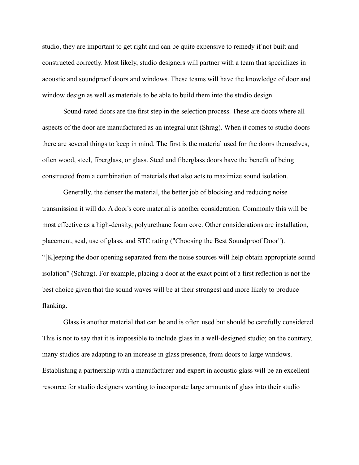studio, they are important to get right and can be quite expensive to remedy if not built and constructed correctly. Most likely, studio designers will partner with a team that specializes in acoustic and soundproof doors and windows. These teams will have the knowledge of door and window design as well as materials to be able to build them into the studio design.

Sound-rated doors are the first step in the selection process. These are doors where all aspects of the door are manufactured as an integral unit (Shrag). When it comes to studio doors there are several things to keep in mind. The first is the material used for the doors themselves, often wood, steel, fiberglass, or glass. Steel and fiberglass doors have the benefit of being constructed from a combination of materials that also acts to maximize sound isolation.

Generally, the denser the material, the better job of blocking and reducing noise transmission it will do. A door's core material is another consideration. Commonly this will be most effective as a high-density, polyurethane foam core. Other considerations are installation, placement, seal, use of glass, and STC rating ("Choosing the Best Soundproof Door"). "[K]eeping the door opening separated from the noise sources will help obtain appropriate sound isolation" (Schrag). For example, placing a door at the exact point of a first reflection is not the best choice given that the sound waves will be at their strongest and more likely to produce flanking.

Glass is another material that can be and is often used but should be carefully considered. This is not to say that it is impossible to include glass in a well-designed studio; on the contrary, many studios are adapting to an increase in glass presence, from doors to large windows. Establishing a partnership with a manufacturer and expert in acoustic glass will be an excellent resource for studio designers wanting to incorporate large amounts of glass into their studio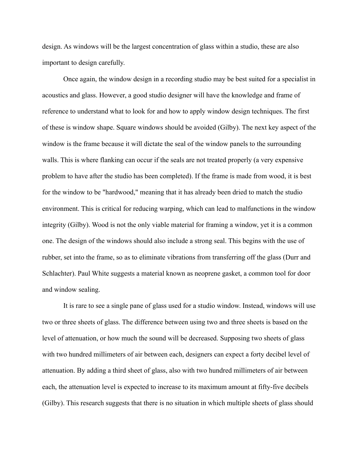design. As windows will be the largest concentration of glass within a studio, these are also important to design carefully.

Once again, the window design in a recording studio may be best suited for a specialist in acoustics and glass. However, a good studio designer will have the knowledge and frame of reference to understand what to look for and how to apply window design techniques. The first of these is window shape. Square windows should be avoided (Gilby). The next key aspect of the window is the frame because it will dictate the seal of the window panels to the surrounding walls. This is where flanking can occur if the seals are not treated properly (a very expensive problem to have after the studio has been completed). If the frame is made from wood, it is best for the window to be "hardwood," meaning that it has already been dried to match the studio environment. This is critical for reducing warping, which can lead to malfunctions in the window integrity (Gilby). Wood is not the only viable material for framing a window, yet it is a common one. The design of the windows should also include a strong seal. This begins with the use of rubber, set into the frame, so as to eliminate vibrations from transferring off the glass (Durr and Schlachter). Paul White suggests a material known as neoprene gasket, a common tool for door and window sealing.

It is rare to see a single pane of glass used for a studio window. Instead, windows will use two or three sheets of glass. The difference between using two and three sheets is based on the level of attenuation, or how much the sound will be decreased. Supposing two sheets of glass with two hundred millimeters of air between each, designers can expect a forty decibel level of attenuation. By adding a third sheet of glass, also with two hundred millimeters of air between each, the attenuation level is expected to increase to its maximum amount at fifty-five decibels (Gilby). This research suggests that there is no situation in which multiple sheets of glass should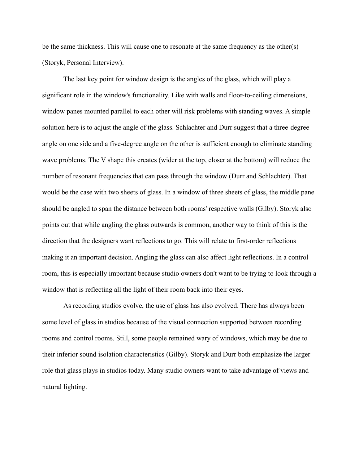be the same thickness. This will cause one to resonate at the same frequency as the other(s) (Storyk, Personal Interview).

The last key point for window design is the angles of the glass, which will play a significant role in the window's functionality. Like with walls and floor-to-ceiling dimensions, window panes mounted parallel to each other will risk problems with standing waves. A simple solution here is to adjust the angle of the glass. Schlachter and Durr suggest that a three-degree angle on one side and a five-degree angle on the other is sufficient enough to eliminate standing wave problems. The V shape this creates (wider at the top, closer at the bottom) will reduce the number of resonant frequencies that can pass through the window (Durr and Schlachter). That would be the case with two sheets of glass. In a window of three sheets of glass, the middle pane should be angled to span the distance between both rooms' respective walls (Gilby). Storyk also points out that while angling the glass outwards is common, another way to think of this is the direction that the designers want reflections to go. This will relate to first-order reflections making it an important decision. Angling the glass can also affect light reflections. In a control room, this is especially important because studio owners don't want to be trying to look through a window that is reflecting all the light of their room back into their eyes.

As recording studios evolve, the use of glass has also evolved. There has always been some level of glass in studios because of the visual connection supported between recording rooms and control rooms. Still, some people remained wary of windows, which may be due to their inferior sound isolation characteristics (Gilby). Storyk and Durr both emphasize the larger role that glass plays in studios today. Many studio owners want to take advantage of views and natural lighting.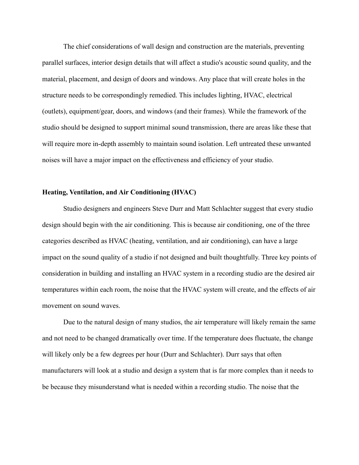The chief considerations of wall design and construction are the materials, preventing parallel surfaces, interior design details that will affect a studio's acoustic sound quality, and the material, placement, and design of doors and windows. Any place that will create holes in the structure needs to be correspondingly remedied. This includes lighting, HVAC, electrical (outlets), equipment/gear, doors, and windows (and their frames). While the framework of the studio should be designed to support minimal sound transmission, there are areas like these that will require more in-depth assembly to maintain sound isolation. Left untreated these unwanted noises will have a major impact on the effectiveness and efficiency of your studio.

# **Heating, Ventilation, and Air Conditioning (HVAC)**

Studio designers and engineers Steve Durr and Matt Schlachter suggest that every studio design should begin with the air conditioning. This is because air conditioning, one of the three categories described as HVAC (heating, ventilation, and air conditioning), can have a large impact on the sound quality of a studio if not designed and built thoughtfully. Three key points of consideration in building and installing an HVAC system in a recording studio are the desired air temperatures within each room, the noise that the HVAC system will create, and the effects of air movement on sound waves.

Due to the natural design of many studios, the air temperature will likely remain the same and not need to be changed dramatically over time. If the temperature does fluctuate, the change will likely only be a few degrees per hour (Durr and Schlachter). Durr says that often manufacturers will look at a studio and design a system that is far more complex than it needs to be because they misunderstand what is needed within a recording studio. The noise that the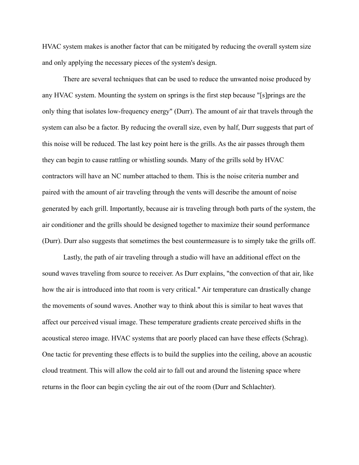HVAC system makes is another factor that can be mitigated by reducing the overall system size and only applying the necessary pieces of the system's design.

There are several techniques that can be used to reduce the unwanted noise produced by any HVAC system. Mounting the system on springs is the first step because "[s]prings are the only thing that isolates low-frequency energy" (Durr). The amount of air that travels through the system can also be a factor. By reducing the overall size, even by half, Durr suggests that part of this noise will be reduced. The last key point here is the grills. As the air passes through them they can begin to cause rattling or whistling sounds. Many of the grills sold by HVAC contractors will have an NC number attached to them. This is the noise criteria number and paired with the amount of air traveling through the vents will describe the amount of noise generated by each grill. Importantly, because air is traveling through both parts of the system, the air conditioner and the grills should be designed together to maximize their sound performance (Durr). Durr also suggests that sometimes the best countermeasure is to simply take the grills off.

Lastly, the path of air traveling through a studio will have an additional effect on the sound waves traveling from source to receiver. As Durr explains, "the convection of that air, like how the air is introduced into that room is very critical." Air temperature can drastically change the movements of sound waves. Another way to think about this is similar to heat waves that affect our perceived visual image. These temperature gradients create perceived shifts in the acoustical stereo image. HVAC systems that are poorly placed can have these effects (Schrag). One tactic for preventing these effects is to build the supplies into the ceiling, above an acoustic cloud treatment. This will allow the cold air to fall out and around the listening space where returns in the floor can begin cycling the air out of the room (Durr and Schlachter).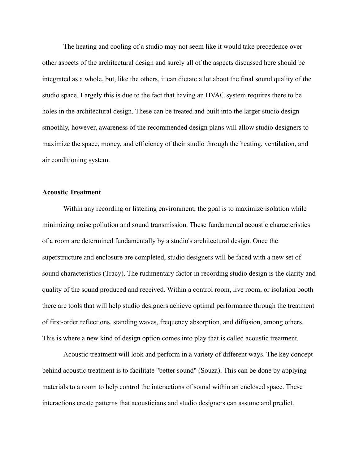The heating and cooling of a studio may not seem like it would take precedence over other aspects of the architectural design and surely all of the aspects discussed here should be integrated as a whole, but, like the others, it can dictate a lot about the final sound quality of the studio space. Largely this is due to the fact that having an HVAC system requires there to be holes in the architectural design. These can be treated and built into the larger studio design smoothly, however, awareness of the recommended design plans will allow studio designers to maximize the space, money, and efficiency of their studio through the heating, ventilation, and air conditioning system.

# **Acoustic Treatment**

Within any recording or listening environment, the goal is to maximize isolation while minimizing noise pollution and sound transmission. These fundamental acoustic characteristics of a room are determined fundamentally by a studio's architectural design. Once the superstructure and enclosure are completed, studio designers will be faced with a new set of sound characteristics (Tracy). The rudimentary factor in recording studio design is the clarity and quality of the sound produced and received. Within a control room, live room, or isolation booth there are tools that will help studio designers achieve optimal performance through the treatment of first-order reflections, standing waves, frequency absorption, and diffusion, among others. This is where a new kind of design option comes into play that is called acoustic treatment.

Acoustic treatment will look and perform in a variety of different ways. The key concept behind acoustic treatment is to facilitate "better sound" (Souza). This can be done by applying materials to a room to help control the interactions of sound within an enclosed space. These interactions create patterns that acousticians and studio designers can assume and predict.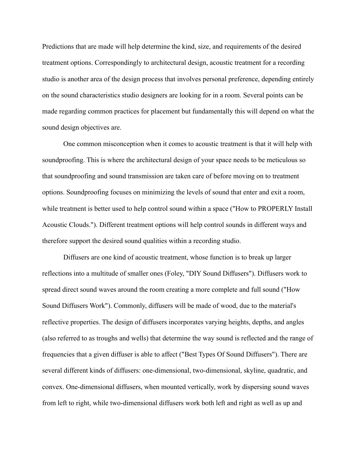Predictions that are made will help determine the kind, size, and requirements of the desired treatment options. Correspondingly to architectural design, acoustic treatment for a recording studio is another area of the design process that involves personal preference, depending entirely on the sound characteristics studio designers are looking for in a room. Several points can be made regarding common practices for placement but fundamentally this will depend on what the sound design objectives are.

One common misconception when it comes to acoustic treatment is that it will help with soundproofing. This is where the architectural design of your space needs to be meticulous so that soundproofing and sound transmission are taken care of before moving on to treatment options. Soundproofing focuses on minimizing the levels of sound that enter and exit a room, while treatment is better used to help control sound within a space ("How to PROPERLY Install Acoustic Clouds."). Different treatment options will help control sounds in different ways and therefore support the desired sound qualities within a recording studio.

Diffusers are one kind of acoustic treatment, whose function is to break up larger reflections into a multitude of smaller ones (Foley, "DIY Sound Diffusers"). Diffusers work to spread direct sound waves around the room creating a more complete and full sound ("How Sound Diffusers Work"). Commonly, diffusers will be made of wood, due to the material's reflective properties. The design of diffusers incorporates varying heights, depths, and angles (also referred to as troughs and wells) that determine the way sound is reflected and the range of frequencies that a given diffuser is able to affect ("Best Types Of Sound Diffusers"). There are several different kinds of diffusers: one-dimensional, two-dimensional, skyline, quadratic, and convex. One-dimensional diffusers, when mounted vertically, work by dispersing sound waves from left to right, while two-dimensional diffusers work both left and right as well as up and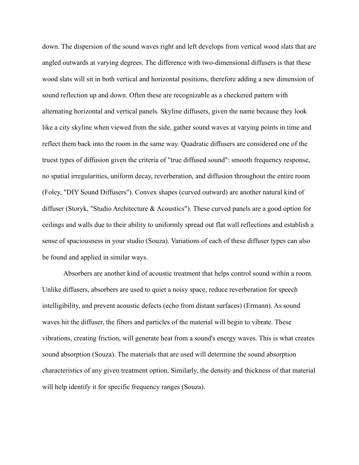down. The dispersion of the sound waves right and left develops from vertical wood slats that are angled outwards at varying degrees. The difference with two-dimensional diffusers is that these wood slats will sit in both vertical and horizontal positions, therefore adding a new dimension of sound reflection up and down. Often these are recognizable as a checkered pattern with alternating horizontal and vertical panels. Skyline diffusers, given the name because they look like a city skyline when viewed from the side, gather sound waves at varying points in time and reflect them back into the room in the same way. Quadratic diffusers are considered one of the truest types of diffusion given the criteria of "true diffused sound": smooth frequency response, no spatial irregularities, uniform decay, reverberation, and diffusion throughout the entire room (Foley, "DIY Sound Diffusers"). Convex shapes (curved outward) are another natural kind of diffuser (Storyk, "Studio Architecture & Acoustics"). These curved panels are a good option for ceilings and walls due to their ability to uniformly spread out flat wall reflections and establish a sense of spaciousness in your studio (Souza). Variations of each of these diffuser types can also be found and applied in similar ways.

Absorbers are another kind of acoustic treatment that helps control sound within a room. Unlike diffusers, absorbers are used to quiet a noisy space, reduce reverberation for speech intelligibility, and prevent acoustic defects (echo from distant surfaces) (Ermann). As sound waves hit the diffuser, the fibers and particles of the material will begin to vibrate. These vibrations, creating friction, will generate heat from a sound's energy waves. This is what creates sound absorption (Souza). The materials that are used will determine the sound absorption characteristics of any given treatment option. Similarly, the density and thickness of that material will help identify it for specific frequency ranges (Souza).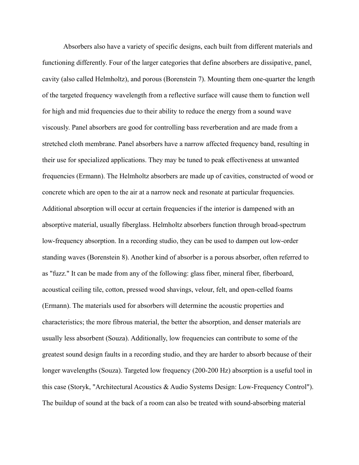Absorbers also have a variety of specific designs, each built from different materials and functioning differently. Four of the larger categories that define absorbers are dissipative, panel, cavity (also called Helmholtz), and porous (Borenstein 7). Mounting them one-quarter the length of the targeted frequency wavelength from a reflective surface will cause them to function well for high and mid frequencies due to their ability to reduce the energy from a sound wave viscously. Panel absorbers are good for controlling bass reverberation and are made from a stretched cloth membrane. Panel absorbers have a narrow affected frequency band, resulting in their use for specialized applications. They may be tuned to peak effectiveness at unwanted frequencies (Ermann). The Helmholtz absorbers are made up of cavities, constructed of wood or concrete which are open to the air at a narrow neck and resonate at particular frequencies. Additional absorption will occur at certain frequencies if the interior is dampened with an absorptive material, usually fiberglass. Helmholtz absorbers function through broad-spectrum low-frequency absorption. In a recording studio, they can be used to dampen out low-order standing waves (Borenstein 8). Another kind of absorber is a porous absorber, often referred to as "fuzz." It can be made from any of the following: glass fiber, mineral fiber, fiberboard, acoustical ceiling tile, cotton, pressed wood shavings, velour, felt, and open-celled foams (Ermann). The materials used for absorbers will determine the acoustic properties and characteristics; the more fibrous material, the better the absorption, and denser materials are usually less absorbent (Souza). Additionally, low frequencies can contribute to some of the greatest sound design faults in a recording studio, and they are harder to absorb because of their longer wavelengths (Souza). Targeted low frequency (200-200 Hz) absorption is a useful tool in this case (Storyk, "Architectural Acoustics & Audio Systems Design: Low-Frequency Control"). The buildup of sound at the back of a room can also be treated with sound-absorbing material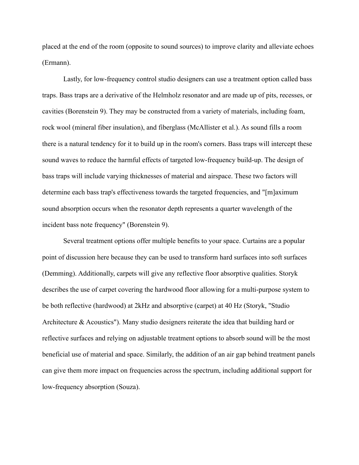placed at the end of the room (opposite to sound sources) to improve clarity and alleviate echoes (Ermann).

Lastly, for low-frequency control studio designers can use a treatment option called bass traps. Bass traps are a derivative of the Helmholz resonator and are made up of pits, recesses, or cavities (Borenstein 9). They may be constructed from a variety of materials, including foam, rock wool (mineral fiber insulation), and fiberglass (McAllister et al.). As sound fills a room there is a natural tendency for it to build up in the room's corners. Bass traps will intercept these sound waves to reduce the harmful effects of targeted low-frequency build-up. The design of bass traps will include varying thicknesses of material and airspace. These two factors will determine each bass trap's effectiveness towards the targeted frequencies, and "[m]aximum sound absorption occurs when the resonator depth represents a quarter wavelength of the incident bass note frequency" (Borenstein 9).

Several treatment options offer multiple benefits to your space. Curtains are a popular point of discussion here because they can be used to transform hard surfaces into soft surfaces (Demming). Additionally, carpets will give any reflective floor absorptive qualities. Storyk describes the use of carpet covering the hardwood floor allowing for a multi-purpose system to be both reflective (hardwood) at 2kHz and absorptive (carpet) at 40 Hz (Storyk, "Studio Architecture & Acoustics"). Many studio designers reiterate the idea that building hard or reflective surfaces and relying on adjustable treatment options to absorb sound will be the most beneficial use of material and space. Similarly, the addition of an air gap behind treatment panels can give them more impact on frequencies across the spectrum, including additional support for low-frequency absorption (Souza).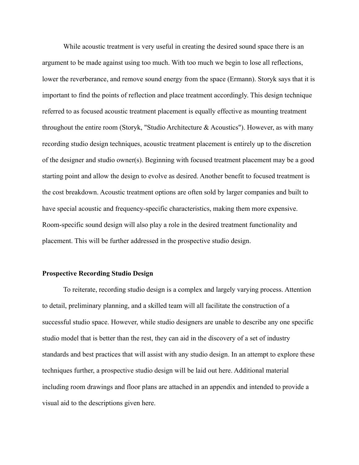While acoustic treatment is very useful in creating the desired sound space there is an argument to be made against using too much. With too much we begin to lose all reflections, lower the reverberance, and remove sound energy from the space (Ermann). Storyk says that it is important to find the points of reflection and place treatment accordingly. This design technique referred to as focused acoustic treatment placement is equally effective as mounting treatment throughout the entire room (Storyk, "Studio Architecture  $\&$  Acoustics"). However, as with many recording studio design techniques, acoustic treatment placement is entirely up to the discretion of the designer and studio owner(s). Beginning with focused treatment placement may be a good starting point and allow the design to evolve as desired. Another benefit to focused treatment is the cost breakdown. Acoustic treatment options are often sold by larger companies and built to have special acoustic and frequency-specific characteristics, making them more expensive. Room-specific sound design will also play a role in the desired treatment functionality and placement. This will be further addressed in the prospective studio design.

## **Prospective Recording Studio Design**

To reiterate, recording studio design is a complex and largely varying process. Attention to detail, preliminary planning, and a skilled team will all facilitate the construction of a successful studio space. However, while studio designers are unable to describe any one specific studio model that is better than the rest, they can aid in the discovery of a set of industry standards and best practices that will assist with any studio design. In an attempt to explore these techniques further, a prospective studio design will be laid out here. Additional material including room drawings and floor plans are attached in an appendix and intended to provide a visual aid to the descriptions given here.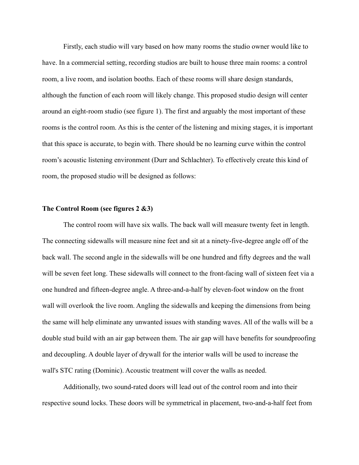Firstly, each studio will vary based on how many rooms the studio owner would like to have. In a commercial setting, recording studios are built to house three main rooms: a control room, a live room, and isolation booths. Each of these rooms will share design standards, although the function of each room will likely change. This proposed studio design will center around an eight-room studio (see figure 1). The first and arguably the most important of these rooms is the control room. As this is the center of the listening and mixing stages, it is important that this space is accurate, to begin with. There should be no learning curve within the control room's acoustic listening environment (Durr and Schlachter). To effectively create this kind of room, the proposed studio will be designed as follows:

#### **The Control Room (see figures 2 &3)**

The control room will have six walls. The back wall will measure twenty feet in length. The connecting sidewalls will measure nine feet and sit at a ninety-five-degree angle off of the back wall. The second angle in the sidewalls will be one hundred and fifty degrees and the wall will be seven feet long. These sidewalls will connect to the front-facing wall of sixteen feet via a one hundred and fifteen-degree angle. A three-and-a-half by eleven-foot window on the front wall will overlook the live room. Angling the sidewalls and keeping the dimensions from being the same will help eliminate any unwanted issues with standing waves. All of the walls will be a double stud build with an air gap between them. The air gap will have benefits for soundproofing and decoupling. A double layer of drywall for the interior walls will be used to increase the wall's STC rating (Dominic). Acoustic treatment will cover the walls as needed.

Additionally, two sound-rated doors will lead out of the control room and into their respective sound locks. These doors will be symmetrical in placement, two-and-a-half feet from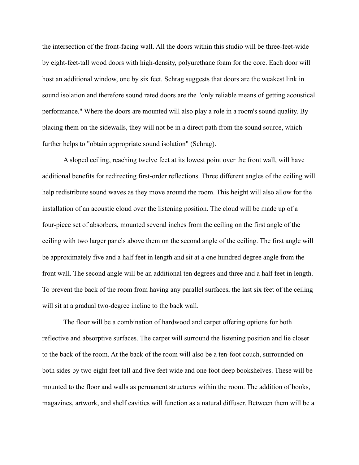the intersection of the front-facing wall. All the doors within this studio will be three-feet-wide by eight-feet-tall wood doors with high-density, polyurethane foam for the core. Each door will host an additional window, one by six feet. Schrag suggests that doors are the weakest link in sound isolation and therefore sound rated doors are the "only reliable means of getting acoustical performance." Where the doors are mounted will also play a role in a room's sound quality. By placing them on the sidewalls, they will not be in a direct path from the sound source, which further helps to "obtain appropriate sound isolation" (Schrag).

A sloped ceiling, reaching twelve feet at its lowest point over the front wall, will have additional benefits for redirecting first-order reflections. Three different angles of the ceiling will help redistribute sound waves as they move around the room. This height will also allow for the installation of an acoustic cloud over the listening position. The cloud will be made up of a four-piece set of absorbers, mounted several inches from the ceiling on the first angle of the ceiling with two larger panels above them on the second angle of the ceiling. The first angle will be approximately five and a half feet in length and sit at a one hundred degree angle from the front wall. The second angle will be an additional ten degrees and three and a half feet in length. To prevent the back of the room from having any parallel surfaces, the last six feet of the ceiling will sit at a gradual two-degree incline to the back wall.

The floor will be a combination of hardwood and carpet offering options for both reflective and absorptive surfaces. The carpet will surround the listening position and lie closer to the back of the room. At the back of the room will also be a ten-foot couch, surrounded on both sides by two eight feet tall and five feet wide and one foot deep bookshelves. These will be mounted to the floor and walls as permanent structures within the room. The addition of books, magazines, artwork, and shelf cavities will function as a natural diffuser. Between them will be a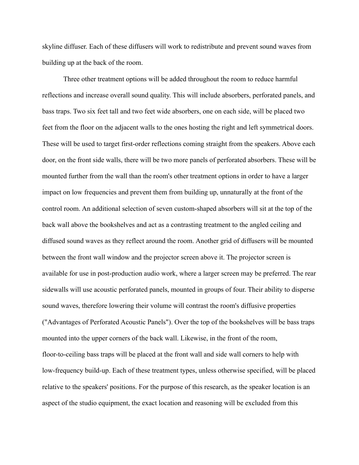skyline diffuser. Each of these diffusers will work to redistribute and prevent sound waves from building up at the back of the room.

Three other treatment options will be added throughout the room to reduce harmful reflections and increase overall sound quality. This will include absorbers, perforated panels, and bass traps. Two six feet tall and two feet wide absorbers, one on each side, will be placed two feet from the floor on the adjacent walls to the ones hosting the right and left symmetrical doors. These will be used to target first-order reflections coming straight from the speakers. Above each door, on the front side walls, there will be two more panels of perforated absorbers. These will be mounted further from the wall than the room's other treatment options in order to have a larger impact on low frequencies and prevent them from building up, unnaturally at the front of the control room. An additional selection of seven custom-shaped absorbers will sit at the top of the back wall above the bookshelves and act as a contrasting treatment to the angled ceiling and diffused sound waves as they reflect around the room. Another grid of diffusers will be mounted between the front wall window and the projector screen above it. The projector screen is available for use in post-production audio work, where a larger screen may be preferred. The rear sidewalls will use acoustic perforated panels, mounted in groups of four. Their ability to disperse sound waves, therefore lowering their volume will contrast the room's diffusive properties ("Advantages of Perforated Acoustic Panels"). Over the top of the bookshelves will be bass traps mounted into the upper corners of the back wall. Likewise, in the front of the room, floor-to-ceiling bass traps will be placed at the front wall and side wall corners to help with low-frequency build-up. Each of these treatment types, unless otherwise specified, will be placed relative to the speakers' positions. For the purpose of this research, as the speaker location is an aspect of the studio equipment, the exact location and reasoning will be excluded from this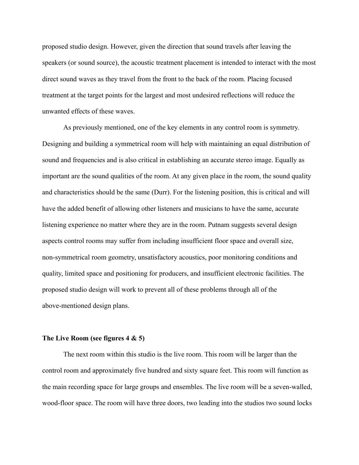proposed studio design. However, given the direction that sound travels after leaving the speakers (or sound source), the acoustic treatment placement is intended to interact with the most direct sound waves as they travel from the front to the back of the room. Placing focused treatment at the target points for the largest and most undesired reflections will reduce the unwanted effects of these waves.

As previously mentioned, one of the key elements in any control room is symmetry. Designing and building a symmetrical room will help with maintaining an equal distribution of sound and frequencies and is also critical in establishing an accurate stereo image. Equally as important are the sound qualities of the room. At any given place in the room, the sound quality and characteristics should be the same (Durr). For the listening position, this is critical and will have the added benefit of allowing other listeners and musicians to have the same, accurate listening experience no matter where they are in the room. Putnam suggests several design aspects control rooms may suffer from including insufficient floor space and overall size, non-symmetrical room geometry, unsatisfactory acoustics, poor monitoring conditions and quality, limited space and positioning for producers, and insufficient electronic facilities. The proposed studio design will work to prevent all of these problems through all of the above-mentioned design plans.

### **The Live Room (see figures 4 & 5)**

The next room within this studio is the live room. This room will be larger than the control room and approximately five hundred and sixty square feet. This room will function as the main recording space for large groups and ensembles. The live room will be a seven-walled, wood-floor space. The room will have three doors, two leading into the studios two sound locks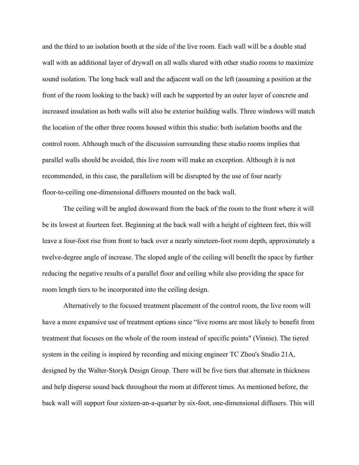and the third to an isolation booth at the side of the live room. Each wall will be a double stud wall with an additional layer of drywall on all walls shared with other studio rooms to maximize sound isolation. The long back wall and the adjacent wall on the left (assuming a position at the front of the room looking to the back) will each be supported by an outer layer of concrete and increased insulation as both walls will also be exterior building walls. Three windows will match the location of the other three rooms housed within this studio: both isolation booths and the control room. Although much of the discussion surrounding these studio rooms implies that parallel walls should be avoided, this live room will make an exception. Although it is not recommended, in this case, the parallelism will be disrupted by the use of four nearly floor-to-ceiling one-dimensional diffusers mounted on the back wall.

The ceiling will be angled downward from the back of the room to the front where it will be its lowest at fourteen feet. Beginning at the back wall with a height of eighteen feet, this will leave a four-foot rise from front to back over a nearly nineteen-foot room depth, approximately a twelve-degree angle of increase. The sloped angle of the ceiling will benefit the space by further reducing the negative results of a parallel floor and ceiling while also providing the space for room length tiers to be incorporated into the ceiling design.

Alternatively to the focused treatment placement of the control room, the live room will have a more expansive use of treatment options since "live rooms are most likely to benefit from treatment that focuses on the whole of the room instead of specific points" (Vinnie). The tiered system in the ceiling is inspired by recording and mixing engineer TC Zhou's Studio 21A, designed by the Walter-Storyk Design Group. There will be five tiers that alternate in thickness and help disperse sound back throughout the room at different times. As mentioned before, the back wall will support four sixteen-an-a-quarter by six-foot, one-dimensional diffusers. This will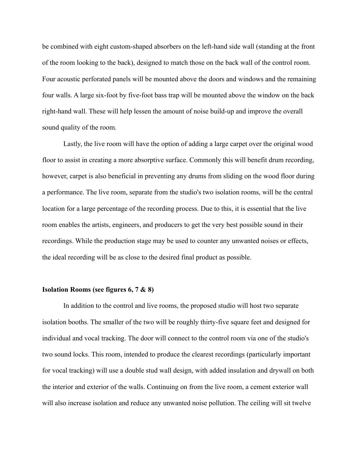be combined with eight custom-shaped absorbers on the left-hand side wall (standing at the front of the room looking to the back), designed to match those on the back wall of the control room. Four acoustic perforated panels will be mounted above the doors and windows and the remaining four walls. A large six-foot by five-foot bass trap will be mounted above the window on the back right-hand wall. These will help lessen the amount of noise build-up and improve the overall sound quality of the room.

Lastly, the live room will have the option of adding a large carpet over the original wood floor to assist in creating a more absorptive surface. Commonly this will benefit drum recording, however, carpet is also beneficial in preventing any drums from sliding on the wood floor during a performance. The live room, separate from the studio's two isolation rooms, will be the central location for a large percentage of the recording process. Due to this, it is essential that the live room enables the artists, engineers, and producers to get the very best possible sound in their recordings. While the production stage may be used to counter any unwanted noises or effects, the ideal recording will be as close to the desired final product as possible.

## **Isolation Rooms (see figures 6, 7 & 8)**

In addition to the control and live rooms, the proposed studio will host two separate isolation booths. The smaller of the two will be roughly thirty-five square feet and designed for individual and vocal tracking. The door will connect to the control room via one of the studio's two sound locks. This room, intended to produce the clearest recordings (particularly important for vocal tracking) will use a double stud wall design, with added insulation and drywall on both the interior and exterior of the walls. Continuing on from the live room, a cement exterior wall will also increase isolation and reduce any unwanted noise pollution. The ceiling will sit twelve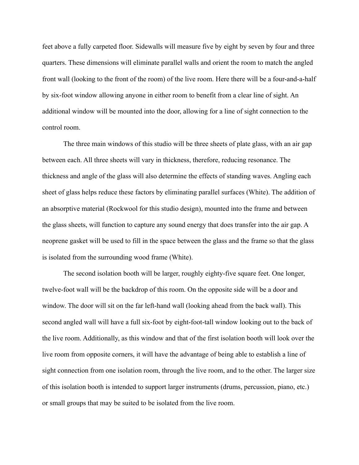feet above a fully carpeted floor. Sidewalls will measure five by eight by seven by four and three quarters. These dimensions will eliminate parallel walls and orient the room to match the angled front wall (looking to the front of the room) of the live room. Here there will be a four-and-a-half by six-foot window allowing anyone in either room to benefit from a clear line of sight. An additional window will be mounted into the door, allowing for a line of sight connection to the control room.

The three main windows of this studio will be three sheets of plate glass, with an air gap between each. All three sheets will vary in thickness, therefore, reducing resonance. The thickness and angle of the glass will also determine the effects of standing waves. Angling each sheet of glass helps reduce these factors by eliminating parallel surfaces (White). The addition of an absorptive material (Rockwool for this studio design), mounted into the frame and between the glass sheets, will function to capture any sound energy that does transfer into the air gap. A neoprene gasket will be used to fill in the space between the glass and the frame so that the glass is isolated from the surrounding wood frame (White).

The second isolation booth will be larger, roughly eighty-five square feet. One longer, twelve-foot wall will be the backdrop of this room. On the opposite side will be a door and window. The door will sit on the far left-hand wall (looking ahead from the back wall). This second angled wall will have a full six-foot by eight-foot-tall window looking out to the back of the live room. Additionally, as this window and that of the first isolation booth will look over the live room from opposite corners, it will have the advantage of being able to establish a line of sight connection from one isolation room, through the live room, and to the other. The larger size of this isolation booth is intended to support larger instruments (drums, percussion, piano, etc.) or small groups that may be suited to be isolated from the live room.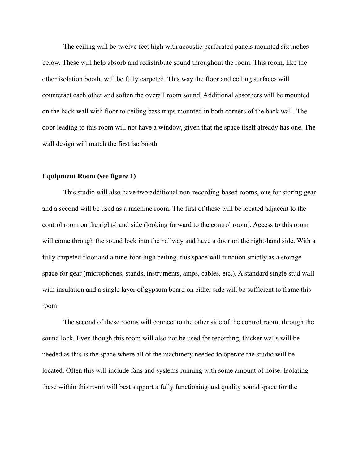The ceiling will be twelve feet high with acoustic perforated panels mounted six inches below. These will help absorb and redistribute sound throughout the room. This room, like the other isolation booth, will be fully carpeted. This way the floor and ceiling surfaces will counteract each other and soften the overall room sound. Additional absorbers will be mounted on the back wall with floor to ceiling bass traps mounted in both corners of the back wall. The door leading to this room will not have a window, given that the space itself already has one. The wall design will match the first iso booth.

## **Equipment Room (see figure 1)**

This studio will also have two additional non-recording-based rooms, one for storing gear and a second will be used as a machine room. The first of these will be located adjacent to the control room on the right-hand side (looking forward to the control room). Access to this room will come through the sound lock into the hallway and have a door on the right-hand side. With a fully carpeted floor and a nine-foot-high ceiling, this space will function strictly as a storage space for gear (microphones, stands, instruments, amps, cables, etc.). A standard single stud wall with insulation and a single layer of gypsum board on either side will be sufficient to frame this room.

The second of these rooms will connect to the other side of the control room, through the sound lock. Even though this room will also not be used for recording, thicker walls will be needed as this is the space where all of the machinery needed to operate the studio will be located. Often this will include fans and systems running with some amount of noise. Isolating these within this room will best support a fully functioning and quality sound space for the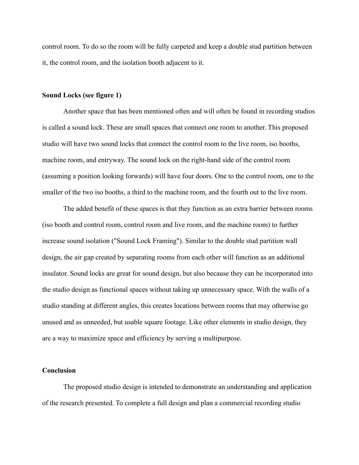control room. To do so the room will be fully carpeted and keep a double stud partition between it, the control room, and the isolation booth adjacent to it.

### **Sound Locks (see figure 1)**

Another space that has been mentioned often and will often be found in recording studios is called a sound lock. These are small spaces that connect one room to another. This proposed studio will have two sound locks that connect the control room to the live room, iso booths, machine room, and entryway. The sound lock on the right-hand side of the control room (assuming a position looking forwards) will have four doors. One to the control room, one to the smaller of the two iso booths, a third to the machine room, and the fourth out to the live room.

The added benefit of these spaces is that they function as an extra barrier between rooms (iso booth and control room, control room and live room, and the machine room) to further increase sound isolation ("Sound Lock Framing"). Similar to the double stud partition wall design, the air gap created by separating rooms from each other will function as an additional insulator. Sound locks are great for sound design, but also because they can be incorporated into the studio design as functional spaces without taking up unnecessary space. With the walls of a studio standing at different angles, this creates locations between rooms that may otherwise go unused and as unneeded, but usable square footage. Like other elements in studio design, they are a way to maximize space and efficiency by serving a multipurpose.

# **Conclusion**

The proposed studio design is intended to demonstrate an understanding and application of the research presented. To complete a full design and plan a commercial recording studio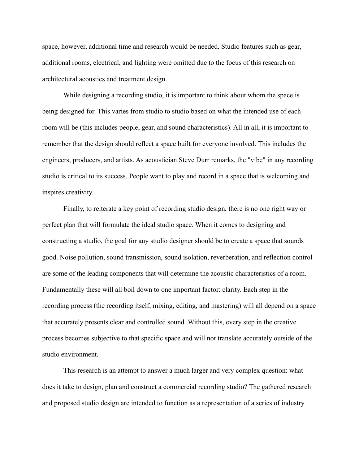space, however, additional time and research would be needed. Studio features such as gear, additional rooms, electrical, and lighting were omitted due to the focus of this research on architectural acoustics and treatment design.

While designing a recording studio, it is important to think about whom the space is being designed for. This varies from studio to studio based on what the intended use of each room will be (this includes people, gear, and sound characteristics). All in all, it is important to remember that the design should reflect a space built for everyone involved. This includes the engineers, producers, and artists. As acoustician Steve Durr remarks, the "vibe" in any recording studio is critical to its success. People want to play and record in a space that is welcoming and inspires creativity.

Finally, to reiterate a key point of recording studio design, there is no one right way or perfect plan that will formulate the ideal studio space. When it comes to designing and constructing a studio, the goal for any studio designer should be to create a space that sounds good. Noise pollution, sound transmission, sound isolation, reverberation, and reflection control are some of the leading components that will determine the acoustic characteristics of a room. Fundamentally these will all boil down to one important factor: clarity. Each step in the recording process (the recording itself, mixing, editing, and mastering) will all depend on a space that accurately presents clear and controlled sound. Without this, every step in the creative process becomes subjective to that specific space and will not translate accurately outside of the studio environment.

This research is an attempt to answer a much larger and very complex question: what does it take to design, plan and construct a commercial recording studio? The gathered research and proposed studio design are intended to function as a representation of a series of industry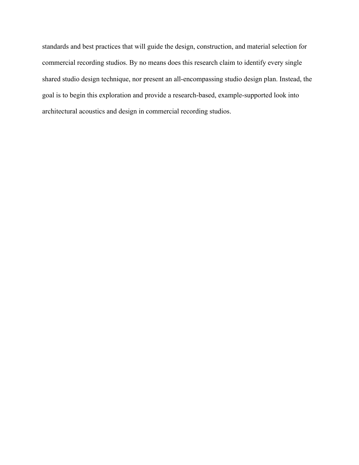standards and best practices that will guide the design, construction, and material selection for commercial recording studios. By no means does this research claim to identify every single shared studio design technique, nor present an all-encompassing studio design plan. Instead, the goal is to begin this exploration and provide a research-based, example-supported look into architectural acoustics and design in commercial recording studios.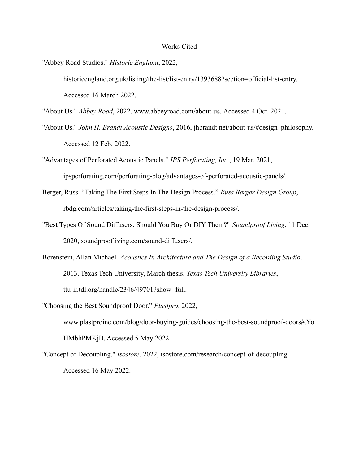#### Works Cited

"Abbey Road Studios." *Historic England*, 2022,

historicengland.org.uk/listing/the-list/list-entry/1393688?section=official-list-entry. Accessed 16 March 2022.

"About Us." *Abbey Road*, 2022, www.abbeyroad.com/about-us. Accessed 4 Oct. 2021.

- "About Us." *John H. Brandt Acoustic Designs*, 2016, jhbrandt.net/about-us/#design\_philosophy. Accessed 12 Feb. 2022.
- "Advantages of Perforated Acoustic Panels." *IPS Perforating, Inc.*, 19 Mar. 2021, ipsperforating.com/perforating-blog/advantages-of-perforated-acoustic-panels/.
- Berger, Russ. "Taking The First Steps In The Design Process." *Russ Berger Design Group*, rbdg.com/articles/taking-the-first-steps-in-the-design-process/.
- "Best Types Of Sound Diffusers: Should You Buy Or DIY Them?" *Soundproof Living*, 11 Dec. 2020, soundproofliving.com/sound-diffusers/.
- Borenstein, Allan Michael. *Acoustics In Architecture and The Design of a Recording Studio*. 2013. Texas Tech University, March thesis. *Texas Tech University Libraries*, ttu-ir.tdl.org/handle/2346/49701?show=full.
- "Choosing the Best Soundproof Door." *Plastpro*, 2022, www.plastproinc.com/blog/door-buying-guides/choosing-the-best-soundproof-doors#.Yo HMbhPMKjB. Accessed 5 May 2022.
- "Concept of Decoupling." *Isostore,* 2022, isostore.com/research/concept-of-decoupling. Accessed 16 May 2022.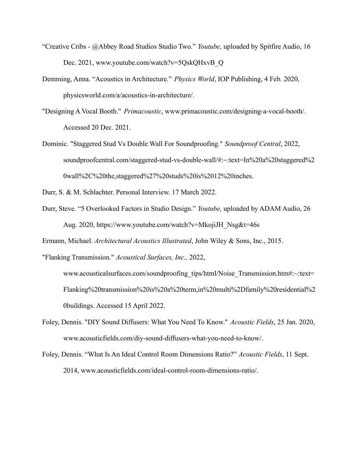- "Creative Cribs @Abbey Road Studios Studio Two." *Youtube,* uploaded by Spitfire Audio, 16 Dec. 2021, www.youtube.com/watch?v=5QskQHxvB\_Q
- Demming, Anna. "Acoustics in Architecture." *Physics World*, IOP Publishing, 4 Feb. 2020, physicsworld.com/a/acoustics-in-architecture/.
- "Designing A Vocal Booth." *Primacoustic*, www.primacoustic.com/designing-a-vocal-booth/. Accessed 20 Dec. 2021.
- Dominic. "Staggered Stud Vs Double Wall For Soundproofing." *Soundproof Central*, 2022, soundproofcentral.com/staggered-stud-vs-double-wall/#:~:text=In%20a%20staggered%2 0wall%2C%20the,staggered%27%20studs%20is%2012%20inches.
- Durr, S. & M. Schlachter. Personal Interview. 17 March 2022.
- Durr, Steve. "5 Overlooked Factors in Studio Design." *Youtube,* uploaded by ADAM Audio, 26 Aug. 2020, https://www.youtube.com/watch?v=MkojiJH\_Nsg&t=46s

Ermann, Michael. *Architectural Acoustics Illustrated*, John Wiley & Sons, Inc., 2015.

"Flanking Transmission." *Acoustical Surfaces, Inc.,* 2022,

www.acousticalsurfaces.com/soundproofing\_tips/html/Noise\_Transmission.htm#:~:text= Flanking%20transmission%20is%20a%20term,in%20multi%2Dfamily%20residential%2 0buildings. Accessed 15 April 2022.

- Foley, Dennis. "DIY Sound Diffusers: What You Need To Know." *Acoustic Fields*, 25 Jan. 2020, www.acousticfields.com/diy-sound-diffusers-what-you-need-to-know/.
- Foley, Dennis. "What Is An Ideal Control Room Dimensions Ratio?" *Acoustic Fields*, 11 Sept. 2014, www.acousticfields.com/ideal-control-room-dimensions-ratio/.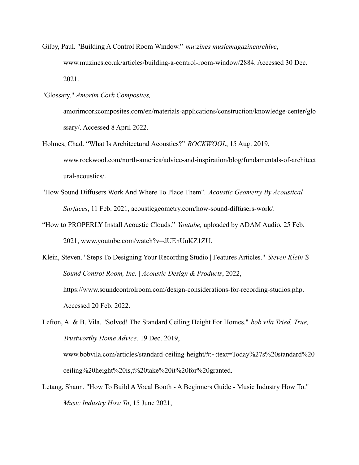- Gilby, Paul. "Building A Control Room Window." *mu:zines musicmagazinearchive*, www.muzines.co.uk/articles/building-a-control-room-window/2884. Accessed 30 Dec. 2021.
- "Glossary." *Amorim Cork Composites,*

amorimcorkcomposites.com/en/materials-applications/construction/knowledge-center/glo ssary/. Accessed 8 April 2022.

- Holmes, Chad. "What Is Architectural Acoustics?" *ROCKWOOL*, 15 Aug. 2019, www.rockwool.com/north-america/advice-and-inspiration/blog/fundamentals-of-architect ural-acoustics/.
- "How Sound Diffusers Work And Where To Place Them". *Acoustic Geometry By Acoustical Surfaces*, 11 Feb. 2021, acousticgeometry.com/how-sound-diffusers-work/.
- "How to PROPERLY Install Acoustic Clouds." *Youtube,* uploaded by ADAM Audio, 25 Feb. 2021, www.youtube.com/watch?v=dUEnUuKZ1ZU.
- Klein, Steven. "Steps To Designing Your Recording Studio | Features Articles." *Steven Klein'S Sound Control Room, Inc. | Acoustic Design & Products*, 2022, https://www.soundcontrolroom.com/design-considerations-for-recording-studios.php. Accessed 20 Feb. 2022.

Lefton, A. & B. Vila. "Solved! The Standard Ceiling Height For Homes." *bob vila Tried, True, Trustworthy Home Advice,* 19 Dec. 2019, www.bobvila.com/articles/standard-ceiling-height/#:~:text=Today%27s%20standard%20 ceiling%20height%20is,t%20take%20it%20for%20granted.

Letang, Shaun. "How To Build A Vocal Booth - A Beginners Guide - Music Industry How To." *Music Industry How To*, 15 June 2021,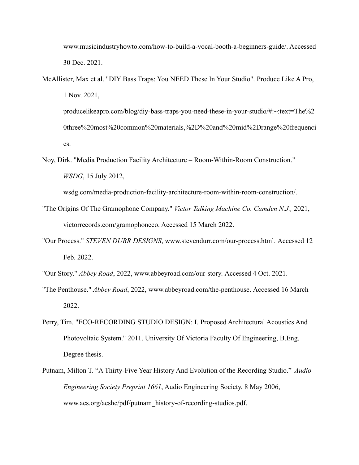www.musicindustryhowto.com/how-to-build-a-vocal-booth-a-beginners-guide/. Accessed 30 Dec. 2021.

- McAllister, Max et al. "DIY Bass Traps: You NEED These In Your Studio". Produce Like A Pro, 1 Nov. 2021, producelikeapro.com/blog/diy-bass-traps-you-need-these-in-your-studio/#:~:text=The%2 0three%20most%20common%20materials,%2D%20and%20mid%2Drange%20frequenci es.
- Noy, Dirk. "Media Production Facility Architecture Room-Within-Room Construction." *WSDG*, 15 July 2012,

wsdg.com/media-production-facility-architecture-room-within-room-construction/.

- "The Origins Of The Gramophone Company." *Victor Talking Machine Co. Camden N.J.,* 2021, victorrecords.com/gramophoneco. Accessed 15 March 2022.
- "Our Process." *STEVEN DURR DESIGNS*, www.stevendurr.com/our-process.html. Accessed 12 Feb. 2022.
- "Our Story." *Abbey Road*, 2022, www.abbeyroad.com/our-story. Accessed 4 Oct. 2021.
- "The Penthouse." *Abbey Road*, 2022, www.abbeyroad.com/the-penthouse. Accessed 16 March 2022.
- Perry, Tim. "ECO-RECORDING STUDIO DESIGN: I. Proposed Architectural Acoustics And Photovoltaic System." 2011. University Of Victoria Faculty Of Engineering, B.Eng. Degree thesis.
- Putnam, Milton T. "A Thirty-Five Year History And Evolution of the Recording Studio." *Audio Engineering Society Preprint 1661*, Audio Engineering Society, 8 May 2006, www.aes.org/aeshc/pdf/putnam\_history-of-recording-studios.pdf.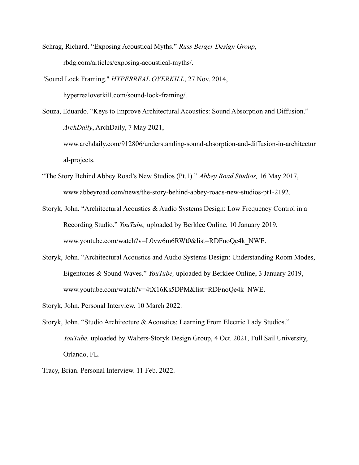- Schrag, Richard. "Exposing Acoustical Myths." *Russ Berger Design Group*, rbdg.com/articles/exposing-acoustical-myths/.
- "Sound Lock Framing." *HYPERREAL OVERKILL*, 27 Nov. 2014,

hyperrealoverkill.com/sound-lock-framing/.

Souza, Eduardo. "Keys to Improve Architectural Acoustics: Sound Absorption and Diffusion." *ArchDaily*, ArchDaily, 7 May 2021,

www.archdaily.com/912806/understanding-sound-absorption-and-diffusion-in-architectur al-projects.

- "The Story Behind Abbey Road's New Studios (Pt.1)." *Abbey Road Studios,* 16 May 2017, www.abbeyroad.com/news/the-story-behind-abbey-roads-new-studios-pt1-2192.
- Storyk, John. "Architectural Acoustics & Audio Systems Design: Low Frequency Control in a Recording Studio." *YouTube,* uploaded by Berklee Online, 10 January 2019, www.youtube.com/watch?v=L0vw6m6RWt0&list=RDFnoQe4k\_NWE.
- Storyk, John. "Architectural Acoustics and Audio Systems Design: Understanding Room Modes, Eigentones & Sound Waves." *YouTube,* uploaded by Berklee Online, 3 January 2019, www.youtube.com/watch?v=4tX16Ks5DPM&list=RDFnoQe4k\_NWE.
- Storyk, John. Personal Interview. 10 March 2022.
- Storyk, John. "Studio Architecture & Acoustics: Learning From Electric Lady Studios." *YouTube,* uploaded by Walters-Storyk Design Group, 4 Oct. 2021, Full Sail University, Orlando, FL.
- Tracy, Brian. Personal Interview. 11 Feb. 2022.